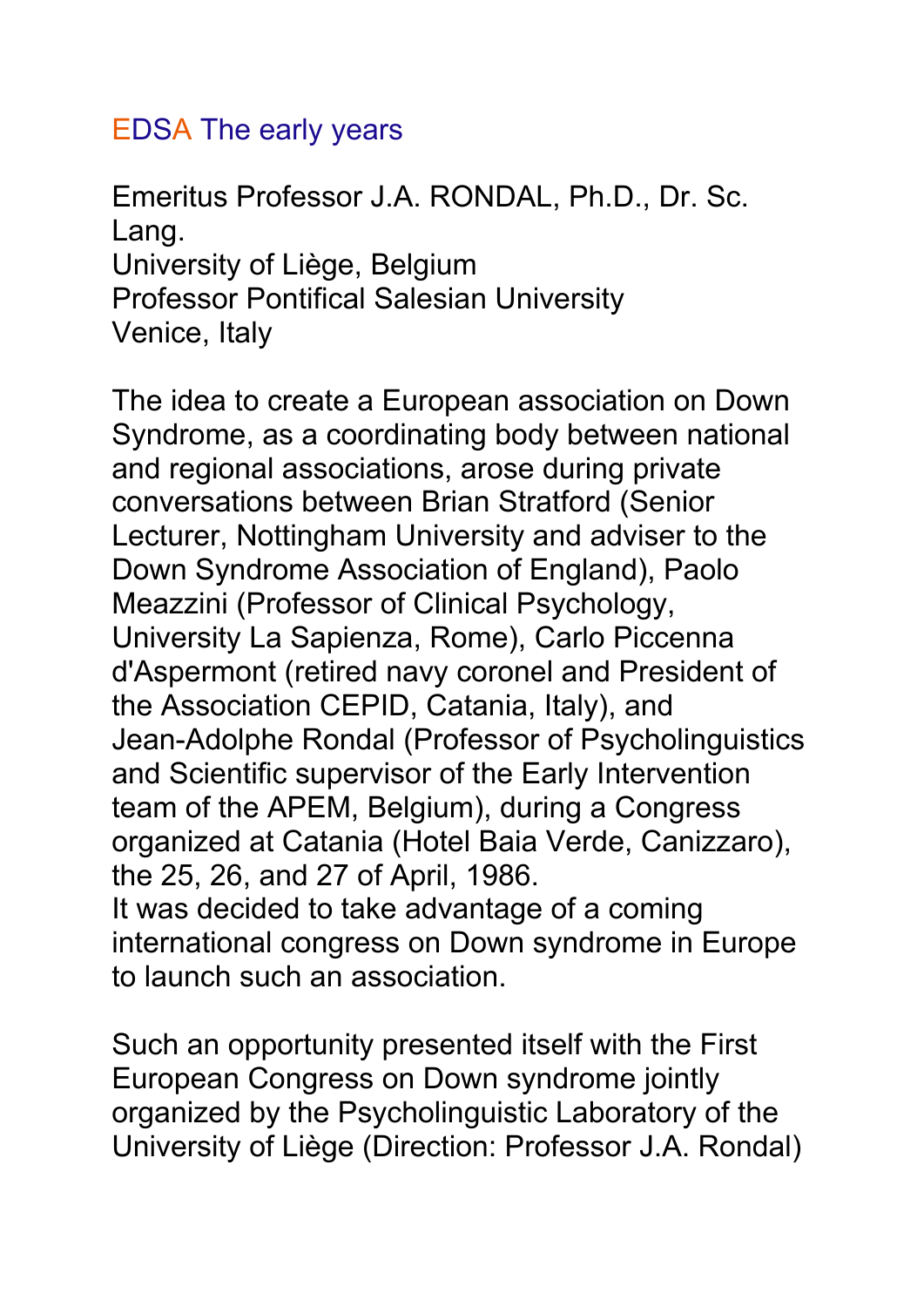## EDSA The early years

Emeritus Professor J.A. RONDAL, Ph.D., Dr. Sc. Lang. University of Liège, Belgium Professor Pontifical Salesian University Venice, Italy

The idea to create a European association on Down Syndrome, as a coordinating body between national and regional associations, arose during private conversations between Brian Stratford (Senior Lecturer, Nottingham University and adviser to the Down Syndrome Association of England), Paolo Meazzini (Professor of Clinical Psychology, University La Sapienza, Rome), Carlo Piccenna d'Aspermont (retired navy coronel and President of the Association CEPID, Catania, Italy), and Jean-Adolphe Rondal (Professor of Psycholinguistics and Scientific supervisor of the Early Intervention team of the APEM, Belgium), during a Congress organized at Catania (Hotel Baia Verde, Canizzaro), the 25, 26, and 27 of April, 1986. It was decided to take advantage of a coming international congress on Down syndrome in Europe to launch such an association.

Such an opportunity presented itself with the First European Congress on Down syndrome jointly organized by the Psycholinguistic Laboratory of the University of Liège (Direction: Professor J.A. Rondal)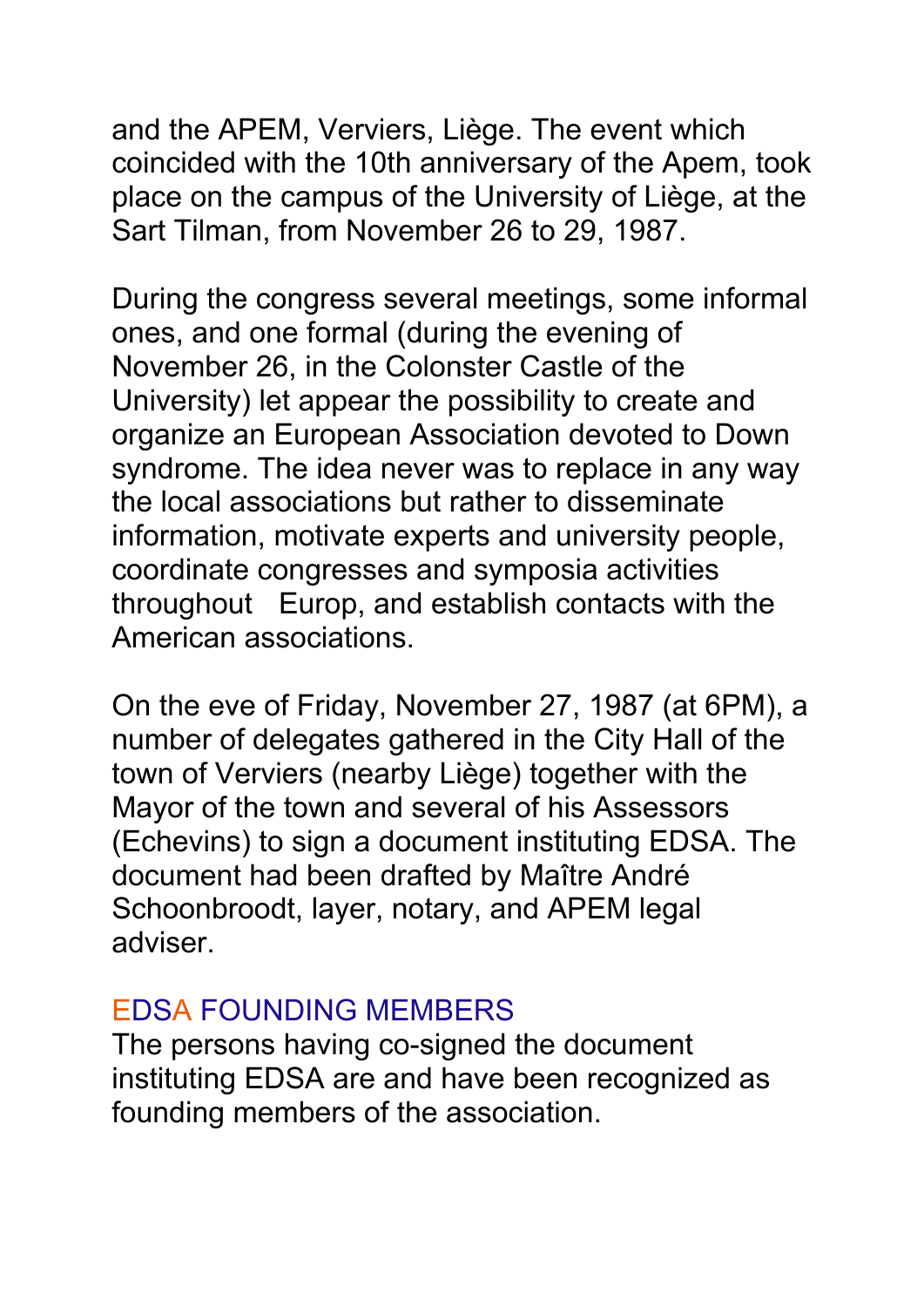and the APEM, Verviers, Liège. The event which coincided with the 10th anniversary of the Apem, took place on the campus of the University of Liège, at the Sart Tilman, from November 26 to 29, 1987.

During the congress several meetings, some informal ones, and one formal (during the evening of November 26, in the Colonster Castle of the University) let appear the possibility to create and organize an European Association devoted to Down syndrome. The idea never was to replace in any way the local associations but rather to disseminate information, motivate experts and university people, coordinate congresses and symposia activities throughout Europ, and establish contacts with the American associations.

On the eve of Friday, November 27, 1987 (at 6PM), a number of delegates gathered in the City Hall of the town of Verviers (nearby Liège) together with the Mayor of the town and several of his Assessors (Echevins) to sign a document instituting EDSA. The document had been drafted by Maître André Schoonbroodt, layer, notary, and APEM legal adviser.

## EDSA FOUNDING MEMBERS

The persons having co-signed the document instituting EDSA are and have been recognized as founding members of the association.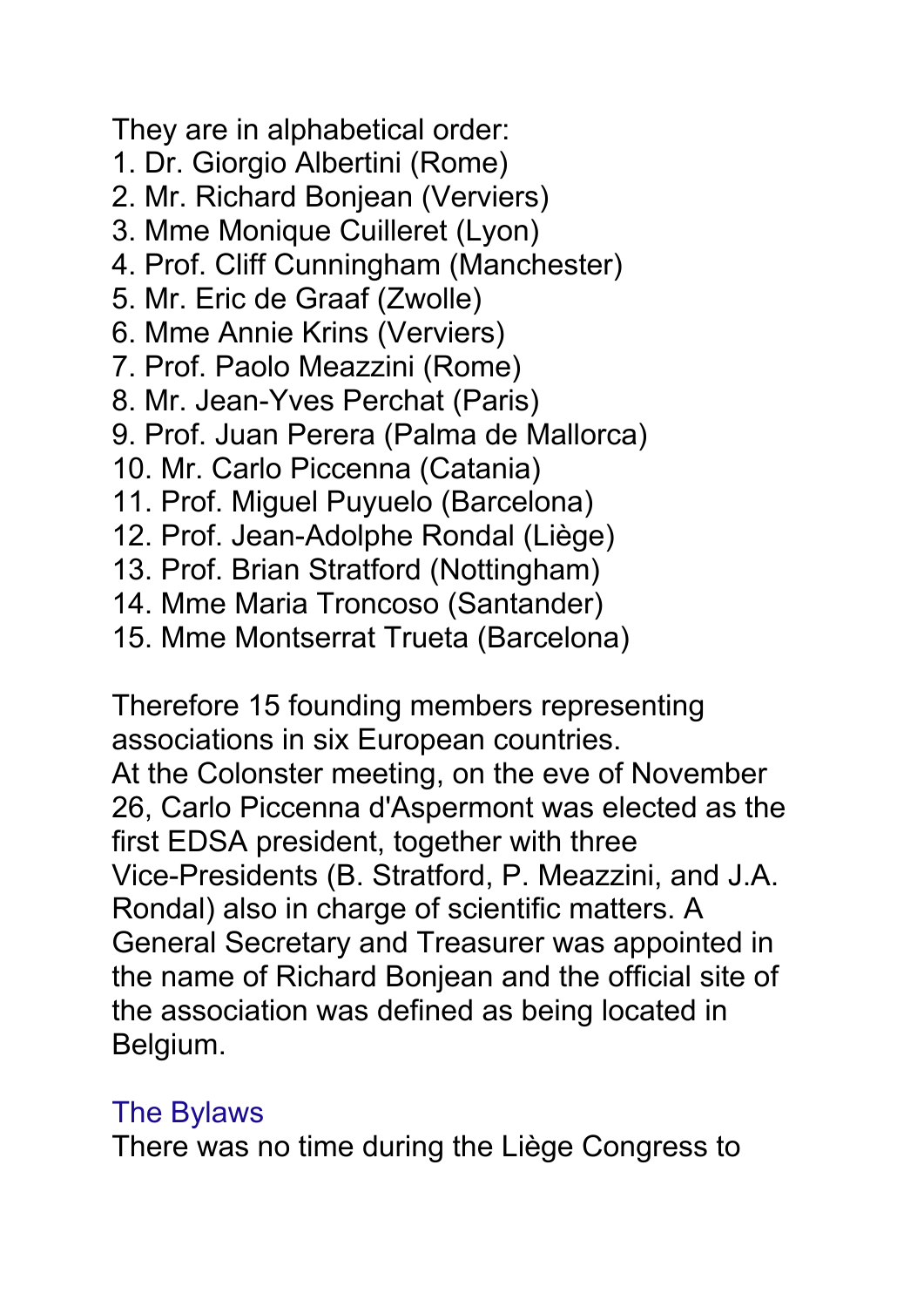They are in alphabetical order:

- 1. Dr. Giorgio Albertini (Rome)
- 2. Mr. Richard Bonjean (Verviers)
- 3. Mme Monique Cuilleret (Lyon)
- 4. Prof. Cliff Cunningham (Manchester)
- 5. Mr. Eric de Graaf (Zwolle)
- 6. Mme Annie Krins (Verviers)
- 7. Prof. Paolo Meazzini (Rome)
- 8. Mr. Jean-Yves Perchat (Paris)
- 9. Prof. Juan Perera (Palma de Mallorca)
- 10. Mr. Carlo Piccenna (Catania)
- 11. Prof. Miguel Puyuelo (Barcelona)
- 12. Prof. Jean-Adolphe Rondal (Liège)
- 13. Prof. Brian Stratford (Nottingham)
- 14. Mme Maria Troncoso (Santander)
- 15. Mme Montserrat Trueta (Barcelona)

Therefore 15 founding members representing associations in six European countries. At the Colonster meeting, on the eve of November 26, Carlo Piccenna d'Aspermont was elected as the first EDSA president, together with three Vice-Presidents (B. Stratford, P. Meazzini, and J.A. Rondal) also in charge of scientific matters. A General Secretary and Treasurer was appointed in the name of Richard Bonjean and the official site of the association was defined as being located in Belgium.

## The Bylaws

There was no time during the Liège Congress to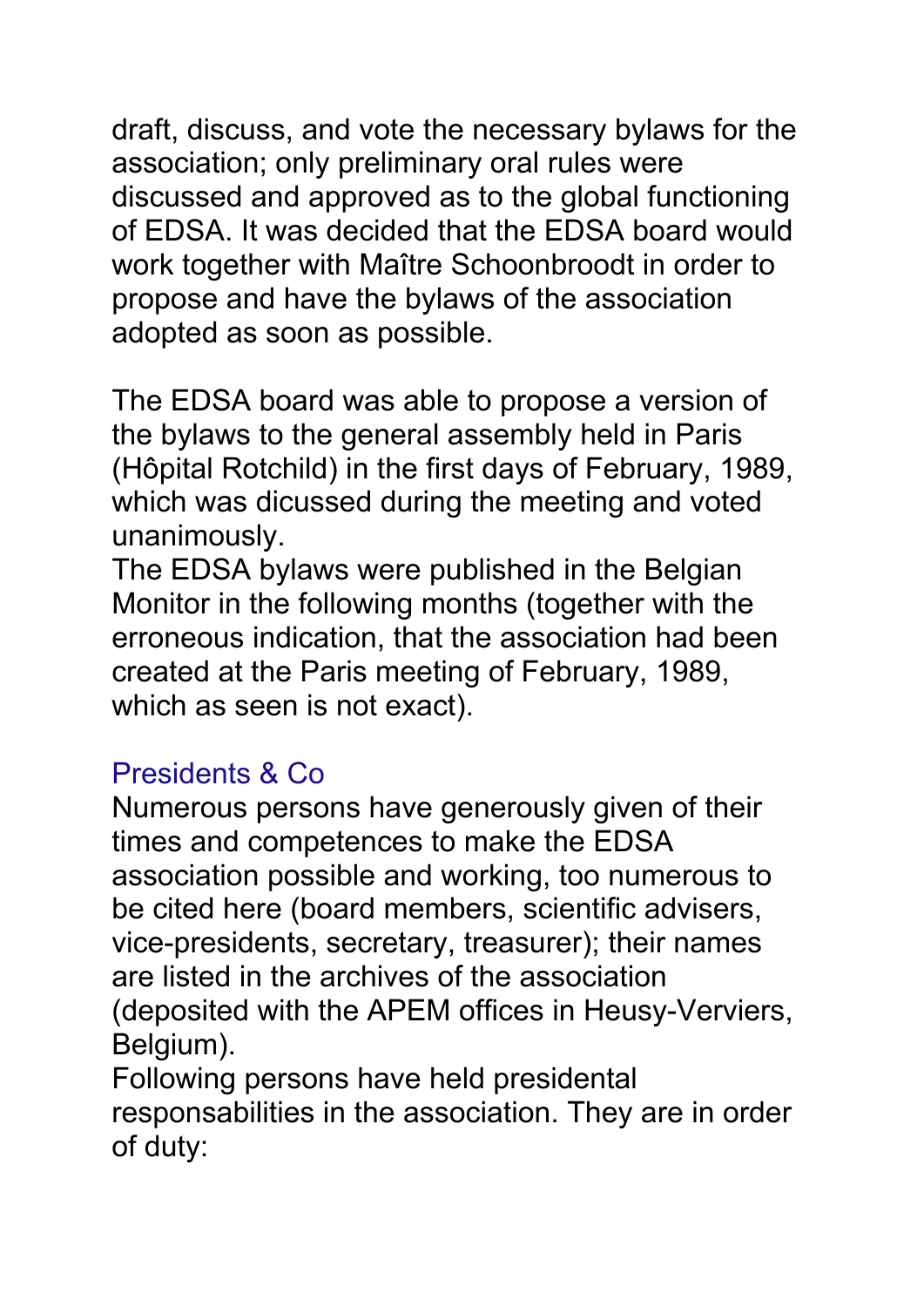draft, discuss, and vote the necessary bylaws for the association; only preliminary oral rules were discussed and approved as to the global functioning of EDSA. It was decided that the EDSA board would work together with Maître Schoonbroodt in order to propose and have the bylaws of the association adopted as soon as possible.

The EDSA board was able to propose a version of the bylaws to the general assembly held in Paris (Hôpital Rotchild) in the first days of February, 1989, which was dicussed during the meeting and voted unanimously.

The EDSA bylaws were published in the Belgian Monitor in the following months (together with the erroneous indication, that the association had been created at the Paris meeting of February, 1989, which as seen is not exact).

## Presidents & Co

Numerous persons have generously given of their times and competences to make the EDSA association possible and working, too numerous to be cited here (board members, scientific advisers, vice-presidents, secretary, treasurer); their names are listed in the archives of the association (deposited with the APEM offices in Heusy-Verviers, Belgium).

Following persons have held presidental responsabilities in the association. They are in order of duty: